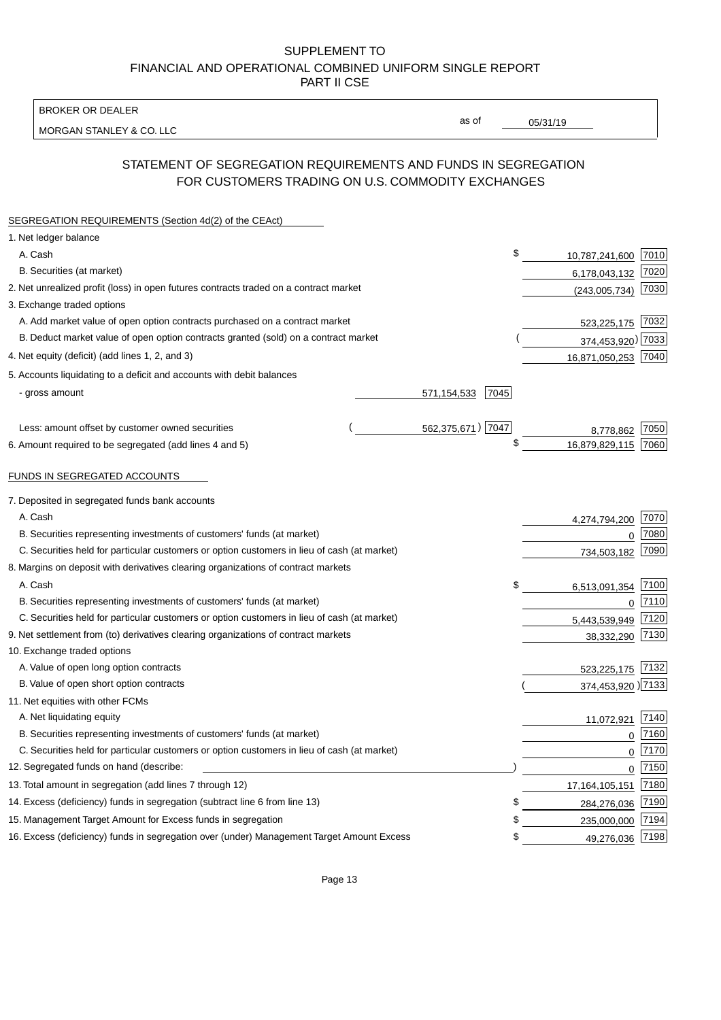BROKER OR DEALER

MORGAN STANLEY & CO. LLC

05/31/19

as of

# STATEMENT OF SEGREGATION REQUIREMENTS AND FUNDS IN SEGREGATION FOR CUSTOMERS TRADING ON U.S. COMMODITY EXCHANGES

| SEGREGATION REQUIREMENTS (Section 4d(2) of the CEAct)                                       |                     |                     |      |
|---------------------------------------------------------------------------------------------|---------------------|---------------------|------|
| 1. Net ledger balance                                                                       |                     |                     |      |
| A. Cash                                                                                     | \$                  | 10,787,241,600 7010 |      |
| B. Securities (at market)                                                                   |                     | 6,178,043,132       | 7020 |
| 2. Net unrealized profit (loss) in open futures contracts traded on a contract market       |                     | (243,005,734)       | 7030 |
| 3. Exchange traded options                                                                  |                     |                     |      |
| A. Add market value of open option contracts purchased on a contract market                 |                     | 523,225,175 7032    |      |
| B. Deduct market value of open option contracts granted (sold) on a contract market         |                     | 374,453,920) 7033   |      |
| 4. Net equity (deficit) (add lines 1, 2, and 3)                                             |                     | 16,871,050,253 7040 |      |
| 5. Accounts liquidating to a deficit and accounts with debit balances                       |                     |                     |      |
| - gross amount                                                                              | 571,154,533<br>7045 |                     |      |
|                                                                                             |                     |                     |      |
| Less: amount offset by customer owned securities                                            | 562,375,671) 7047   | 8,778,862           | 7050 |
| 6. Amount required to be segregated (add lines 4 and 5)                                     | \$                  | 16,879,829,115      | 7060 |
|                                                                                             |                     |                     |      |
| FUNDS IN SEGREGATED ACCOUNTS                                                                |                     |                     |      |
| 7. Deposited in segregated funds bank accounts                                              |                     |                     |      |
| A. Cash                                                                                     |                     | 4,274,794,200       | 7070 |
| B. Securities representing investments of customers' funds (at market)                      |                     | 0                   | 7080 |
| C. Securities held for particular customers or option customers in lieu of cash (at market) |                     | 734,503,182         | 7090 |
| 8. Margins on deposit with derivatives clearing organizations of contract markets           |                     |                     |      |
| A. Cash                                                                                     | \$                  | 6,513,091,354       | 7100 |
| B. Securities representing investments of customers' funds (at market)                      |                     | $\mathbf 0$         | 7110 |
| C. Securities held for particular customers or option customers in lieu of cash (at market) |                     | 5,443,539,949       | 7120 |
| 9. Net settlement from (to) derivatives clearing organizations of contract markets          |                     | 38,332,290          | 7130 |
| 10. Exchange traded options                                                                 |                     |                     |      |
| A. Value of open long option contracts                                                      |                     | 523,225,175 7132    |      |
| B. Value of open short option contracts                                                     |                     | 374,453,920 )7133   |      |
| 11. Net equities with other FCMs                                                            |                     |                     |      |
| A. Net liquidating equity                                                                   |                     | 11,072,921          | 7140 |
| B. Securities representing investments of customers' funds (at market)                      |                     | $\mathbf 0$         | 7160 |
| C. Securities held for particular customers or option customers in lieu of cash (at market) |                     | $\mathbf 0$         | 7170 |
| 12. Segregated funds on hand (describe:                                                     |                     | $\overline{0}$      | 7150 |
| 13. Total amount in segregation (add lines 7 through 12)                                    |                     | 17, 164, 105, 151   | 7180 |
| 14. Excess (deficiency) funds in segregation (subtract line 6 from line 13)                 | \$                  | 284,276,036         | 7190 |
| 15. Management Target Amount for Excess funds in segregation                                | \$                  | 235,000,000         | 7194 |
| 16. Excess (deficiency) funds in segregation over (under) Management Target Amount Excess   | \$                  | 49,276,036 7198     |      |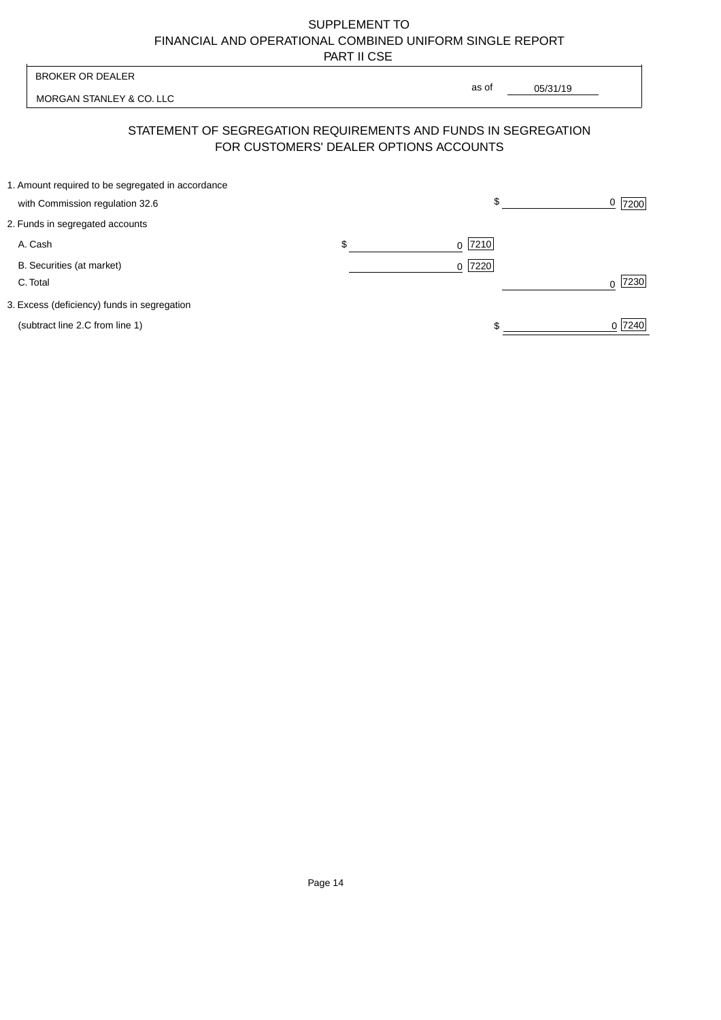| <b>BROKER OR DEALER</b>                                                                                  |    |                     |          |           |
|----------------------------------------------------------------------------------------------------------|----|---------------------|----------|-----------|
| MORGAN STANLEY & CO. LLC                                                                                 |    | as of               | 05/31/19 |           |
| STATEMENT OF SEGREGATION REQUIREMENTS AND FUNDS IN SEGREGATION<br>FOR CUSTOMERS' DEALER OPTIONS ACCOUNTS |    |                     |          |           |
| 1. Amount required to be segregated in accordance<br>with Commission regulation 32.6                     |    | \$                  |          | $0$  7200 |
| 2. Funds in segregated accounts                                                                          |    |                     |          |           |
| A. Cash                                                                                                  | \$ | $ 7210$<br>$\Omega$ |          |           |
| B. Securities (at market)<br>C. Total                                                                    |    | 7220<br>$\Omega$    |          | 7230      |
| 3. Excess (deficiency) funds in segregation                                                              |    |                     |          |           |
| (subtract line 2.C from line 1)                                                                          |    |                     |          | 0 7240    |
|                                                                                                          |    |                     |          |           |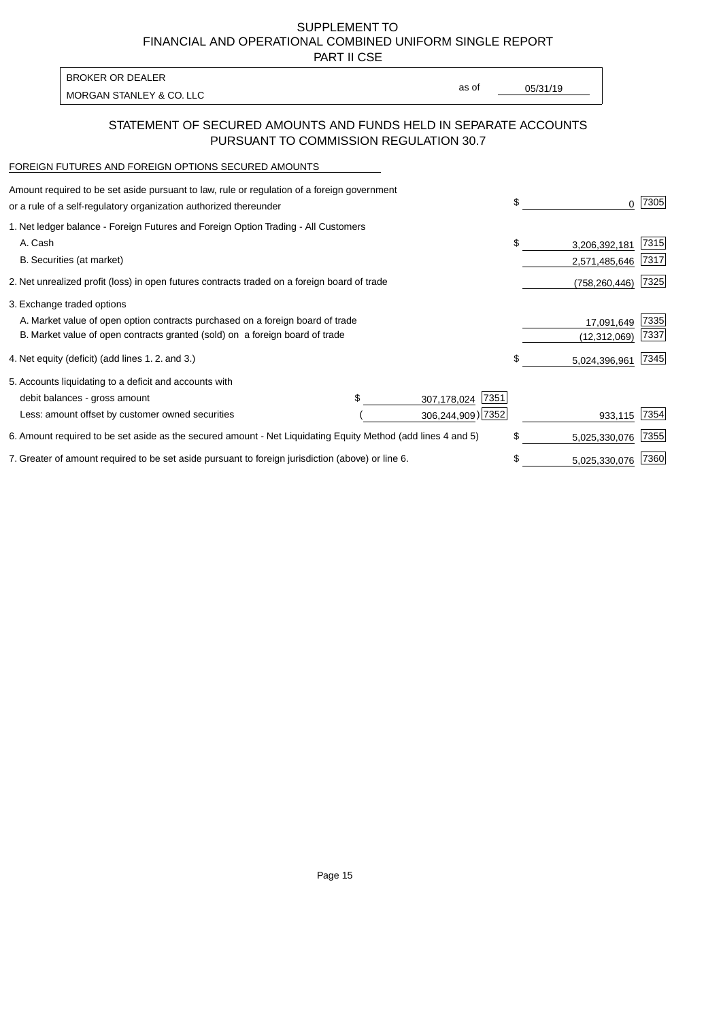PART II CSE

MORGAN STANLEY & CO. LLC and the contract of the contract of the contract of the contract of the contract of the contract of the contract of the contract of the contract of the contract of the contract of the contract of t BROKER OR DEALER

as of

### STATEMENT OF SECURED AMOUNTS AND FUNDS HELD IN SEPARATE ACCOUNTS PURSUANT TO COMMISSION REGULATION 30.7

#### FOREIGN FUTURES AND FOREIGN OPTIONS SECURED AMOUNTS

| Amount required to be set aside pursuant to law, rule or regulation of a foreign government<br>or a rule of a self-regulatory organization authorized thereunder |  |                     | \$<br>0             | 7305 |
|------------------------------------------------------------------------------------------------------------------------------------------------------------------|--|---------------------|---------------------|------|
| 1. Net ledger balance - Foreign Futures and Foreign Option Trading - All Customers                                                                               |  |                     |                     |      |
| A. Cash                                                                                                                                                          |  |                     | \$<br>3,206,392,181 | 7315 |
| B. Securities (at market)                                                                                                                                        |  |                     | 2,571,485,646       | 7317 |
| 2. Net unrealized profit (loss) in open futures contracts traded on a foreign board of trade                                                                     |  |                     | (758, 260, 446)     | 7325 |
| 3. Exchange traded options                                                                                                                                       |  |                     |                     |      |
| A. Market value of open option contracts purchased on a foreign board of trade                                                                                   |  |                     | 17,091,649          | 7335 |
| B. Market value of open contracts granted (sold) on a foreign board of trade                                                                                     |  | (12, 312, 069)      | 7337                |      |
| 4. Net equity (deficit) (add lines 1.2. and 3.)                                                                                                                  |  |                     | \$<br>5,024,396,961 | 7345 |
| 5. Accounts liquidating to a deficit and accounts with                                                                                                           |  |                     |                     |      |
| debit balances - gross amount                                                                                                                                    |  | 7351<br>307,178,024 |                     |      |
| Less: amount offset by customer owned securities                                                                                                                 |  | 306,244,909) 7352   | 933,115             | 7354 |
| 6. Amount required to be set aside as the secured amount - Net Liquidating Equity Method (add lines 4 and 5)                                                     |  |                     | \$<br>5,025,330,076 | 7355 |
| 7. Greater of amount required to be set aside pursuant to foreign jurisdiction (above) or line 6.                                                                |  | \$<br>5,025,330,076 | 7360                |      |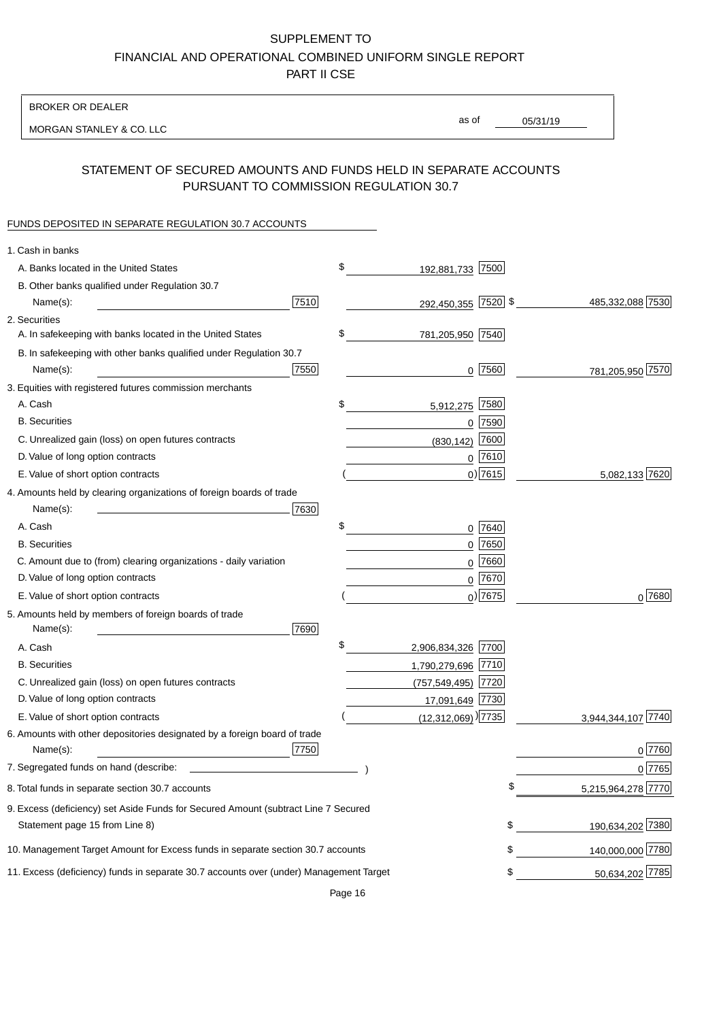BROKER OR DEALER

MORGAN STANLEY & CO. LLC

05/31/19

as of

## STATEMENT OF SECURED AMOUNTS AND FUNDS HELD IN SEPARATE ACCOUNTS PURSUANT TO COMMISSION REGULATION 30.7

#### FUNDS DEPOSITED IN SEPARATE REGULATION 30.7 ACCOUNTS

| \$<br>A. Banks located in the United States<br>192,881,733 7500<br>B. Other banks qualified under Regulation 30.7<br>7510<br>292,450,355 7520 \$<br>485,332,088 7530<br>Name(s):<br>2. Securities |            |
|---------------------------------------------------------------------------------------------------------------------------------------------------------------------------------------------------|------------|
|                                                                                                                                                                                                   |            |
|                                                                                                                                                                                                   |            |
|                                                                                                                                                                                                   |            |
|                                                                                                                                                                                                   |            |
| \$<br>A. In safekeeping with banks located in the United States<br>781,205,950 7540                                                                                                               |            |
| B. In safekeeping with other banks qualified under Regulation 30.7                                                                                                                                |            |
| 7550<br>$0$  7560 <br>781,205,950 7570<br>Name(s):<br><u> 1990 - Johann Barbara, martin a</u>                                                                                                     |            |
| 3. Equities with registered futures commission merchants                                                                                                                                          |            |
| A. Cash<br>7580<br>\$<br>5,912,275                                                                                                                                                                |            |
| <b>B.</b> Securities<br>$0$ 7590                                                                                                                                                                  |            |
| 7600<br>C. Unrealized gain (loss) on open futures contracts<br>(830, 142)                                                                                                                         |            |
| $0$ 7610<br>D. Value of long option contracts                                                                                                                                                     |            |
| $0)$ 7615<br>5,082,133 7620<br>E. Value of short option contracts                                                                                                                                 |            |
| 4. Amounts held by clearing organizations of foreign boards of trade                                                                                                                              |            |
| Name(s):<br>7630                                                                                                                                                                                  |            |
| \$<br>A. Cash<br>0 7640                                                                                                                                                                           |            |
| 0 7650<br><b>B.</b> Securities                                                                                                                                                                    |            |
| C. Amount due to (from) clearing organizations - daily variation<br>7660<br>0                                                                                                                     |            |
| D. Value of long option contracts<br>0 7670                                                                                                                                                       |            |
| $0$ ) 7675<br>E. Value of short option contracts                                                                                                                                                  | $0^{7680}$ |
| 5. Amounts held by members of foreign boards of trade<br>Name(s):<br>7690                                                                                                                         |            |
| \$<br>2,906,834,326 7700<br>A. Cash                                                                                                                                                               |            |
| <b>B.</b> Securities<br>1,790,279,696 7710                                                                                                                                                        |            |
| $(757, 549, 495)$ 7720<br>C. Unrealized gain (loss) on open futures contracts                                                                                                                     |            |
| D. Value of long option contracts<br>17,091,649 7730                                                                                                                                              |            |
| E. Value of short option contracts<br>$(12,312,069)$ <sup>[7735]</sup><br>3,944,344,107 7740                                                                                                      |            |
| 6. Amounts with other depositories designated by a foreign board of trade<br>7750<br>Name(s):                                                                                                     | 0 7760     |
| 7. Segregated funds on hand (describe:                                                                                                                                                            | 0 7765     |
| 5,215,964,278 7770<br>8. Total funds in separate section 30.7 accounts<br>Ψ                                                                                                                       |            |
| 9. Excess (deficiency) set Aside Funds for Secured Amount (subtract Line 7 Secured<br>190,634,202 7380<br>\$<br>Statement page 15 from Line 8)                                                    |            |
| \$<br>140,000,000 7780<br>10. Management Target Amount for Excess funds in separate section 30.7 accounts                                                                                         |            |
| 50,634,202 7785<br>11. Excess (deficiency) funds in separate 30.7 accounts over (under) Management Target<br>\$                                                                                   |            |

Page 16